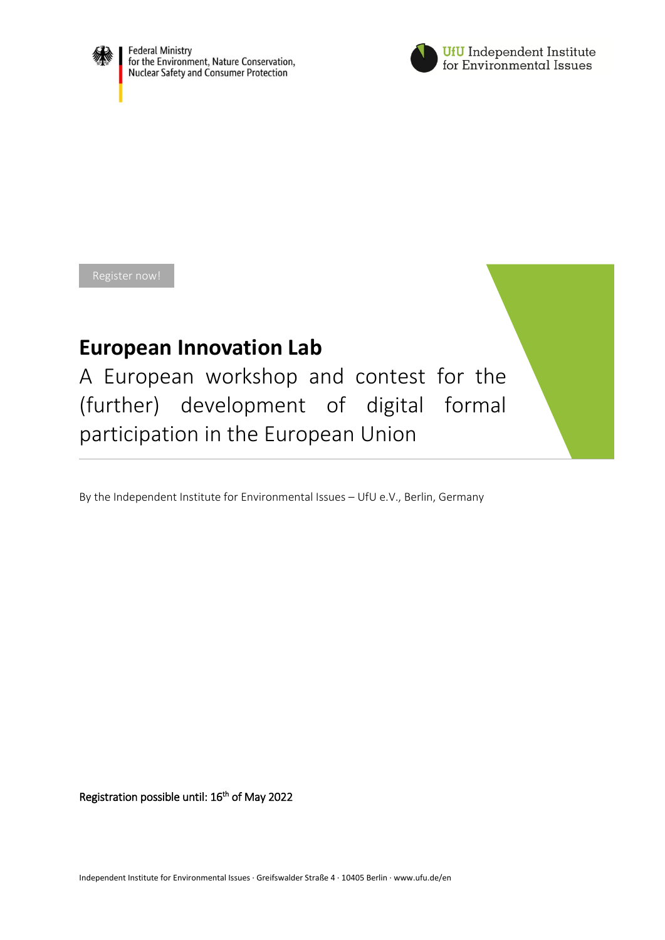



[Register now!](https://www.ufu.de/projekt/aarhus-strong/)

# **European Innovation Lab**

A European workshop and contest for the (further) development of digital formal participation in the European Union

By the Independent Institute for Environmental Issues – UfU e.V., Berlin, Germany

Registration possible until: 16<sup>th</sup> of May 2022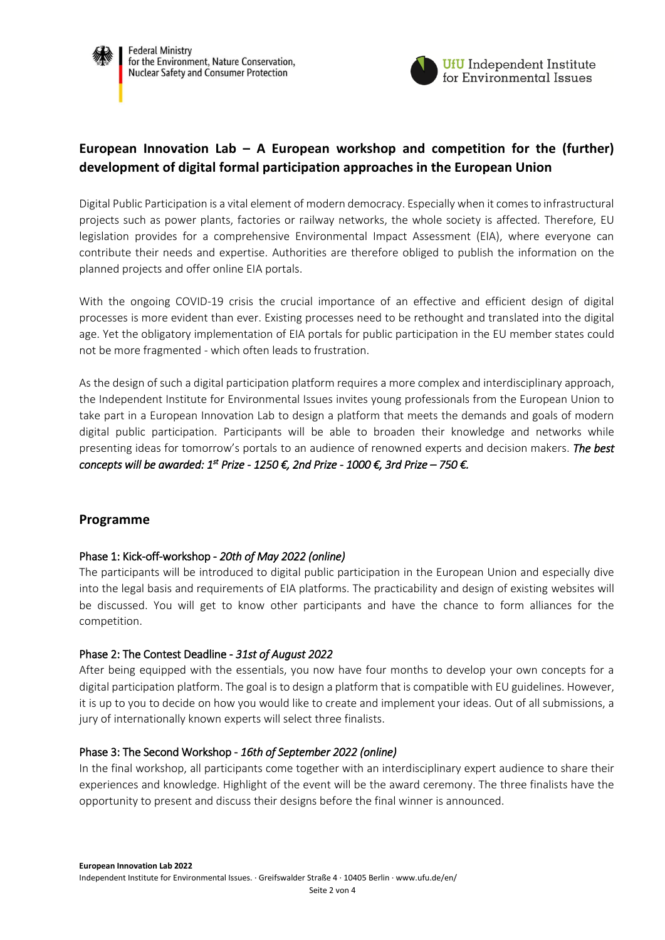



## **European Innovation Lab – A European workshop and competition for the (further) development of digital formal participation approaches in the European Union**

Digital Public Participation is a vital element of modern democracy. Especially when it comes to infrastructural projects such as power plants, factories or railway networks, the whole society is affected. Therefore, EU legislation provides for a comprehensive Environmental Impact Assessment (EIA), where everyone can contribute their needs and expertise. Authorities are therefore obliged to publish the information on the planned projects and offer online EIA portals.

With the ongoing COVID-19 crisis the crucial importance of an effective and efficient design of digital processes is more evident than ever. Existing processes need to be rethought and translated into the digital age. Yet the obligatory implementation of EIA portals for public participation in the EU member states could not be more fragmented - which often leads to frustration.

As the design of such a digital participation platform requires a more complex and interdisciplinary approach, the Independent Institute for Environmental Issues invites young professionals from the European Union to take part in a European Innovation Lab to design a platform that meets the demands and goals of modern digital public participation. Participants will be able to broaden their knowledge and networks while presenting ideas for tomorrow's portals to an audience of renowned experts and decision makers. *The best concepts will be awarded: 1st Prize - 1250 €, 2nd Prize - 1000 €, 3rd Prize – 750 €.*

## **Programme**

## Phase 1: Kick-off-workshop - *20th of May 2022 (online)*

The participants will be introduced to digital public participation in the European Union and especially dive into the legal basis and requirements of EIA platforms. The practicability and design of existing websites will be discussed. You will get to know other participants and have the chance to form alliances for the competition.

## Phase 2: The Contest Deadline - *31st of August 2022*

After being equipped with the essentials, you now have four months to develop your own concepts for a digital participation platform. The goal is to design a platform that is compatible with EU guidelines. However, it is up to you to decide on how you would like to create and implement your ideas. Out of all submissions, a jury of internationally known experts will select three finalists.

## Phase 3: The Second Workshop - *16th of September 2022 (online)*

In the final workshop, all participants come together with an interdisciplinary expert audience to share their experiences and knowledge. Highlight of the event will be the award ceremony. The three finalists have the opportunity to present and discuss their designs before the final winner is announced.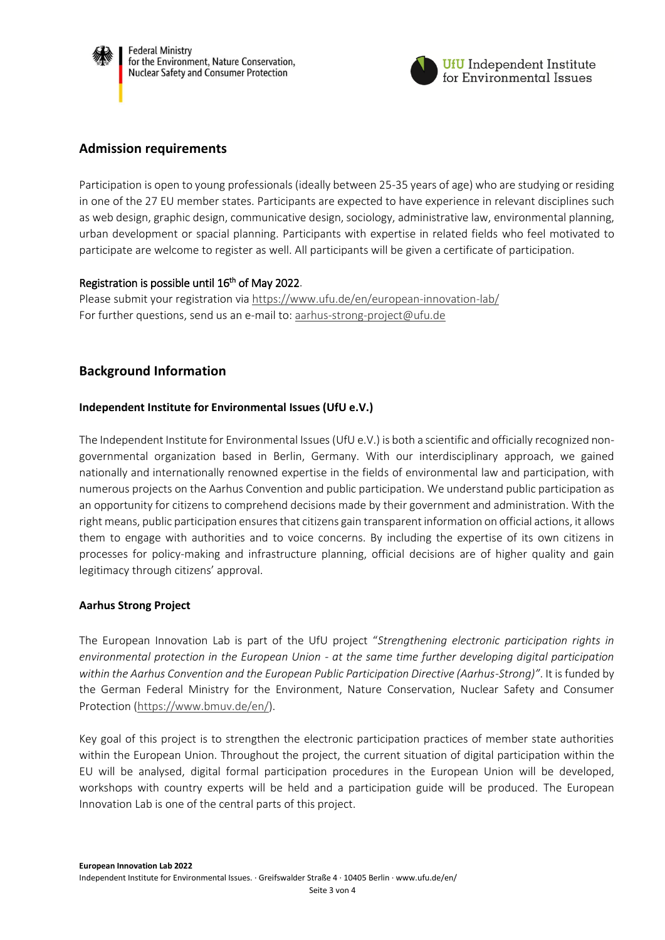



## **Admission requirements**

Participation is open to young professionals (ideally between 25-35 years of age) who are studying or residing in one of the 27 EU member states. Participants are expected to have experience in relevant disciplines such as web design, graphic design, communicative design, sociology, administrative law, environmental planning, urban development or spacial planning. Participants with expertise in related fields who feel motivated to participate are welcome to register as well. All participants will be given a certificate of participation.

## Registration is possible until 16<sup>th</sup> of May 2022.

Please submit your registration via <https://www.ufu.de/en/european-innovation-lab/> For further questions, send us an e-mail to: [aarhus-strong-project@ufu.de](mailto:aarhus-strong-project@ufu.de)

## **Background Information**

#### **Independent Institute for Environmental Issues (UfU e.V.)**

The Independent Institute for Environmental Issues(UfU e.V.) is both a scientific and officially recognized nongovernmental organization based in Berlin, Germany. With our interdisciplinary approach, we gained nationally and internationally renowned expertise in the fields of environmental law and participation, with numerous projects on the Aarhus Convention and public participation. We understand public participation as an opportunity for citizens to comprehend decisions made by their government and administration. With the right means, public participation ensures that citizens gain transparent information on official actions, it allows them to engage with authorities and to voice concerns. By including the expertise of its own citizens in processes for policy-making and infrastructure planning, official decisions are of higher quality and gain legitimacy through citizens' approval.

#### **Aarhus Strong Project**

The European Innovation Lab is part of the UfU project "*Strengthening electronic participation rights in environmental protection in the European Union - at the same time further developing digital participation within the Aarhus Convention and the European Public Participation Directive (Aarhus-Strong)"*. It is funded by the German Federal Ministry for the Environment, Nature Conservation, Nuclear Safety and Consumer Protection [\(https://www.bmuv.de/en/\)](https://www.bmuv.de/en/).

Key goal of this project is to strengthen the electronic participation practices of member state authorities within the European Union. Throughout the project, the current situation of digital participation within the EU will be analysed, digital formal participation procedures in the European Union will be developed, workshops with country experts will be held and a participation guide will be produced. The European Innovation Lab is one of the central parts of this project.